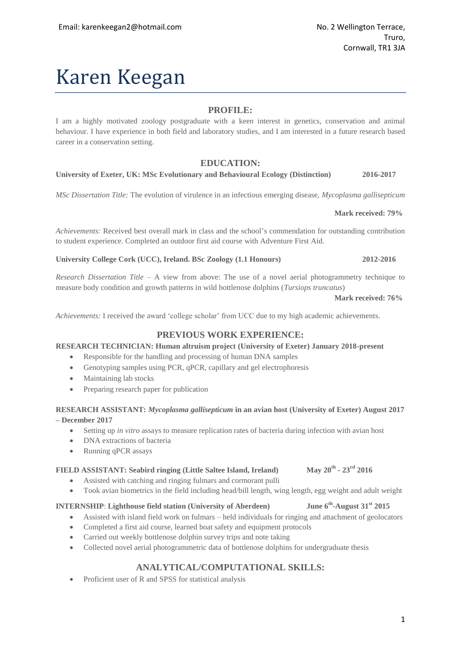# Karen Keegan

#### **PROFILE:**

I am a highly motivated zoology postgraduate with a keen interest in genetics, conservation and animal behaviour. I have experience in both field and laboratory studies, and I am interested in a future research based career in a conservation setting.

#### **EDUCATION:**

#### **University of Exeter, UK: MSc Evolutionary and Behavioural Ecology (Distinction) 2016-2017**

*MSc Dissertation Title:* The evolution of virulence in an infectious emerging disease, *Mycoplasma gallisepticum*

#### **Mark received: 79%**

*Achievements:* Received best overall mark in class and the school's commendation for outstanding contribution to student experience. Completed an outdoor first aid course with Adventure First Aid.

#### **University College Cork (UCC), Ireland. BSc Zoology (1.1 Honours) 2012-2016**

*Research Dissertation Title* – A view from above: The use of a novel aerial photogrammetry technique to measure body condition and growth patterns in wild bottlenose dolphins (*Tursiops truncatus*)

**Mark received: 76%**

*Achievements:* I received the award 'college scholar' from UCC due to my high academic achievements.

#### **PREVIOUS WORK EXPERIENCE:**

#### **RESEARCH TECHNICIAN: Human altruism project (University of Exeter) January 2018-present**

- Responsible for the handling and processing of human DNA samples
- Genotyping samples using PCR, qPCR, capillary and gel electrophoresis
- Maintaining lab stocks
- Preparing research paper for publication

#### **RESEARCH ASSISTANT:** *Mycoplasma gallisepticum* **in an avian host (University of Exeter) August 2017 – December 2017**

- Setting up *in vitro* assays to measure replication rates of bacteria during infection with avian host
- DNA extractions of bacteria
- Running qPCR assays

#### **FIELD ASSISTANT: Seabird ringing (Little Saltee Island, Ireland) - 23rd 2016**

- Assisted with catching and ringing fulmars and cormorant pulli
- Took avian biometrics in the field including head/bill length, wing length, egg weight and adult weight

#### **INTERNSHIP**: Lighthouse field station (University of Aberdeen)

- Assisted with island field work on fulmars held individuals for ringing and attachment of geolocators
- Completed a first aid course, learned boat safety and equipment protocols
- Carried out weekly bottlenose dolphin survey trips and note taking
- Collected novel aerial photogrammetric data of bottlenose dolphins for undergraduate thesis

### **ANALYTICAL/COMPUTATIONAL SKILLS:**

• Proficient user of R and SPSS for statistical analysis

## **-August 31st 2015**